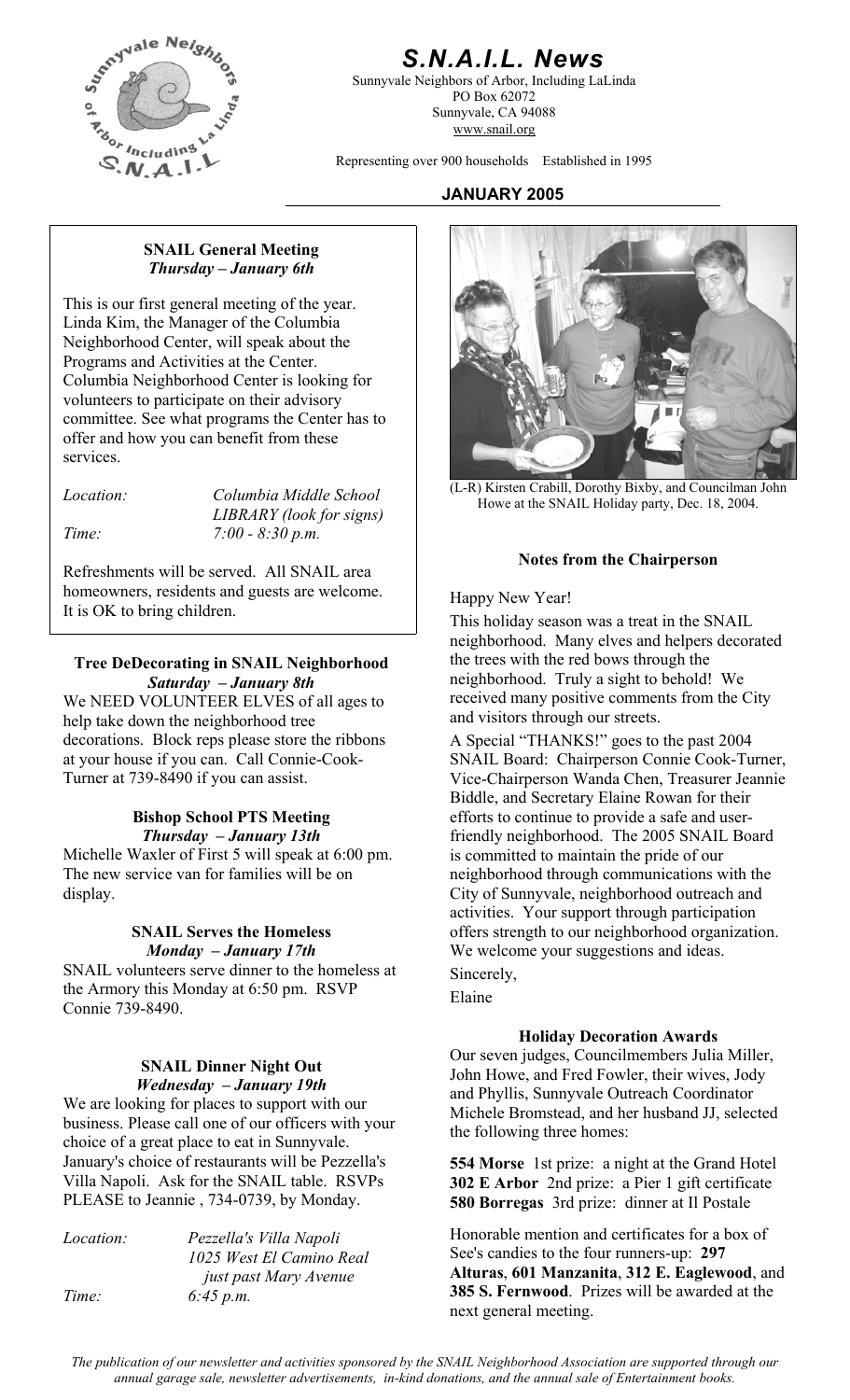

# *S.N.A.I.L. News*

Sunnyvale Neighbors of Arbor, Including LaLinda PO Box 62072 Sunnyvale, CA 94088 www.snail.org

Representing over 900 households Established in 1995

### **JANUARY 2005**

#### **SNAIL General Meeting**  *Thursday – January 6th*

This is our first general meeting of the year. Linda Kim, the Manager of the Columbia Neighborhood Center, will speak about the Programs and Activities at the Center. Columbia Neighborhood Center is looking for volunteers to participate on their advisory committee. See what programs the Center has to offer and how you can benefit from these services.

| <i>Location:</i> | Columbia Middle School   |
|------------------|--------------------------|
|                  | LIBRARY (look for signs) |
| Time:            | $7:00 - 8:30 p.m.$       |

**Notes from the Chairperson** Refreshments will be served. All SNAIL area homeowners, residents and guests are welcome.<br>
It is OK to bring children.

### **Tree DeDecorating in SNAIL Neighborhood**  *Saturday – January 8th*

We NEED VOLUNTEER ELVES of all ages to help take down the neighborhood tree decorations. Block reps please store the ribbons at your house if you can. Call Connie-Cook-Turner at 739-8490 if you can assist.

#### **Bishop School PTS Meeting**  *Thursday – January 13th*

Michelle Waxler of First 5 will speak at 6:00 pm. The new service van for families will be on display.

#### **SNAIL Serves the Homeless**  *Monday – January 17th*

SNAIL volunteers serve dinner to the homeless at the Armory this Monday at 6:50 pm. RSVP Connie 739-8490.

#### **SNAIL Dinner Night Out**  *Wednesday – January 19th*

We are looking for places to support with our business. Please call one of our officers with your choice of a great place to eat in Sunnyvale. January's choice of restaurants will be Pezzella's Villa Napoli. Ask for the SNAIL table. RSVPs PLEASE to Jeannie, 734-0739, by Monday.

| <i>Location:</i> | Pezzella's Villa Napoli  |
|------------------|--------------------------|
|                  | 1025 West El Camino Real |
|                  | just past Mary Avenue    |
| Time:            | 6:45 p.m.                |



(L-R) Kirsten Crabill, Dorothy Bixby, and Councilman John Howe at the SNAIL Holiday party, Dec. 18, 2004.

This holiday season was a treat in the SNAIL neighborhood. Many elves and helpers decorated the trees with the red bows through the neighborhood. Truly a sight to behold! We received many positive comments from the City and visitors through our streets.

A Special "THANKS!" goes to the past 2004 SNAIL Board: Chairperson Connie Cook-Turner, Vice-Chairperson Wanda Chen, Treasurer Jeannie Biddle, and Secretary Elaine Rowan for their efforts to continue to provide a safe and userfriendly neighborhood. The 2005 SNAIL Board is committed to maintain the pride of our neighborhood through communications with the City of Sunnyvale, neighborhood outreach and activities. Your support through participation offers strength to our neighborhood organization. We welcome your suggestions and ideas.

## Sincerely,

Elaine

#### **Holiday Decoration Awards**

Our seven judges, Councilmembers Julia Miller, John Howe, and Fred Fowler, their wives, Jody and Phyllis, Sunnyvale Outreach Coordinator Michele Bromstead, and her husband JJ, selected the following three homes:

**554 Morse** 1st prize: a night at the Grand Hotel **302 E Arbor** 2nd prize: a Pier 1 gift certificate **580 Borregas** 3rd prize: dinner at Il Postale

Honorable mention and certificates for a box of See's candies to the four runners-up: **297 Alturas**, **601 Manzanita**, **312 E. Eaglewood**, and **385 S. Fernwood**. Prizes will be awarded at the next general meeting.

*The publication of our newsletter and activities sponsored by the SNAIL Neighborhood Association are supported through our annual garage sale, newsletter advertisements, in-kind donations, and the annual sale of Entertainment books.*